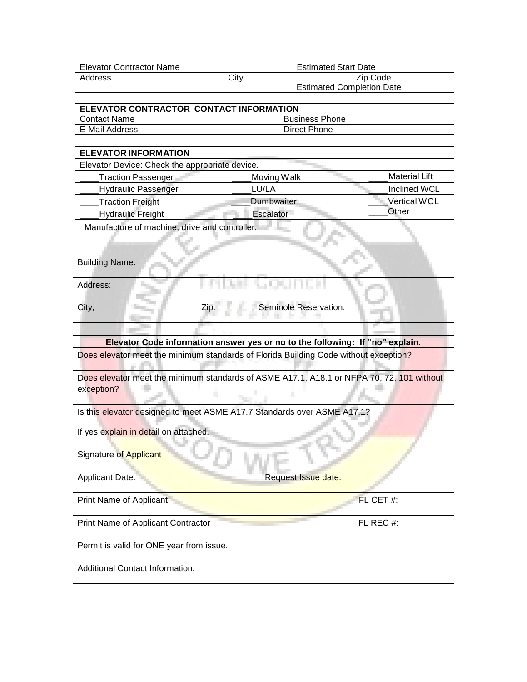| Elevator Contractor Name | <b>Estimated Start Date</b> |                                  |  |
|--------------------------|-----------------------------|----------------------------------|--|
| Address                  | City                        | Zip Code                         |  |
|                          |                             | <b>Estimated Completion Date</b> |  |

| <b>ELEVATOR CONTRACTOR CONTACT INFORMATION</b> |                       |  |  |
|------------------------------------------------|-----------------------|--|--|
| I Contact Name                                 | <b>Business Phone</b> |  |  |
| E-Mail Address                                 | Direct Phone          |  |  |

| <b>ELEVATOR INFORMATION</b>                    |             |                      |  |  |
|------------------------------------------------|-------------|----------------------|--|--|
| Elevator Device: Check the appropriate device. |             |                      |  |  |
| <b>Traction Passenger</b>                      | Moving Walk | <b>Material Lift</b> |  |  |
| <b>Hydraulic Passenger</b>                     | LU/LA       | <b>Inclined WCL</b>  |  |  |
| <b>Traction Freight</b>                        | Dumbwaiter  | <b>Vertical WCL</b>  |  |  |
| <b>Hydraulic Freight</b>                       | Escalator   | Other                |  |  |
| Manufacture of machine, drive and controller:  |             |                      |  |  |

Address:

City, **City, City, City, City, City, City, City, City, City, City, City, City, City, City, City, City, City, City, City, City, City, City, City, City, City, City, City, City, City, City, City, City, City, City, City, City,** 

, 00, 1110, 11

**Elevator Code information answer yes or no to the following: If "no" explain.** Does elevator meet the minimum standards of Florida Building Code without exception?

Does elevator meet the minimum standards of ASME A17.1, A18.1 or NFPA 70, 72, 101 without exception?

Is this elevator designed to meet ASME A17.7 Standards over ASME A17.1?

If yes explain in detail on attached.

an air bha

Signature of Applicant

Applicant Date: **Request Issue date:** Request Issue date:

Print Name of Applicant FL CET #:

Print Name of Applicant Contractor FL REC #:

Permit is valid for ONE year from issue.

Additional Contact Information: